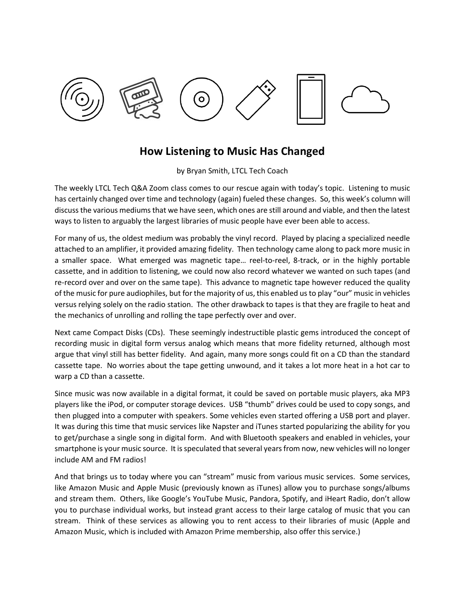

## **How Listening to Music Has Changed**

by Bryan Smith, LTCL Tech Coach

The weekly LTCL Tech Q&A Zoom class comes to our rescue again with today's topic. Listening to music has certainly changed over time and technology (again) fueled these changes. So, this week's column will discuss the various mediums that we have seen, which ones are still around and viable, and then the latest ways to listen to arguably the largest libraries of music people have ever been able to access.

For many of us, the oldest medium was probably the vinyl record. Played by placing a specialized needle attached to an amplifier, it provided amazing fidelity. Then technology came along to pack more music in a smaller space. What emerged was magnetic tape… reel-to-reel, 8-track, or in the highly portable cassette, and in addition to listening, we could now also record whatever we wanted on such tapes (and re-record over and over on the same tape). This advance to magnetic tape however reduced the quality of the music for pure audiophiles, but for the majority of us, this enabled us to play "our" music in vehicles versus relying solely on the radio station. The other drawback to tapes is that they are fragile to heat and the mechanics of unrolling and rolling the tape perfectly over and over.

Next came Compact Disks (CDs). These seemingly indestructible plastic gems introduced the concept of recording music in digital form versus analog which means that more fidelity returned, although most argue that vinyl still has better fidelity. And again, many more songs could fit on a CD than the standard cassette tape. No worries about the tape getting unwound, and it takes a lot more heat in a hot car to warp a CD than a cassette.

Since music was now available in a digital format, it could be saved on portable music players, aka MP3 players like the iPod, or computer storage devices. USB "thumb" drives could be used to copy songs, and then plugged into a computer with speakers. Some vehicles even started offering a USB port and player. It was during this time that music services like Napster and iTunes started popularizing the ability for you to get/purchase a single song in digital form. And with Bluetooth speakers and enabled in vehicles, your smartphone is your music source. It is speculated that several years from now, new vehicles will no longer include AM and FM radios!

And that brings us to today where you can "stream" music from various music services. Some services, like Amazon Music and Apple Music (previously known as iTunes) allow you to purchase songs/albums and stream them. Others, like Google's YouTube Music, Pandora, Spotify, and iHeart Radio, don't allow you to purchase individual works, but instead grant access to their large catalog of music that you can stream. Think of these services as allowing you to rent access to their libraries of music (Apple and Amazon Music, which is included with Amazon Prime membership, also offer this service.)